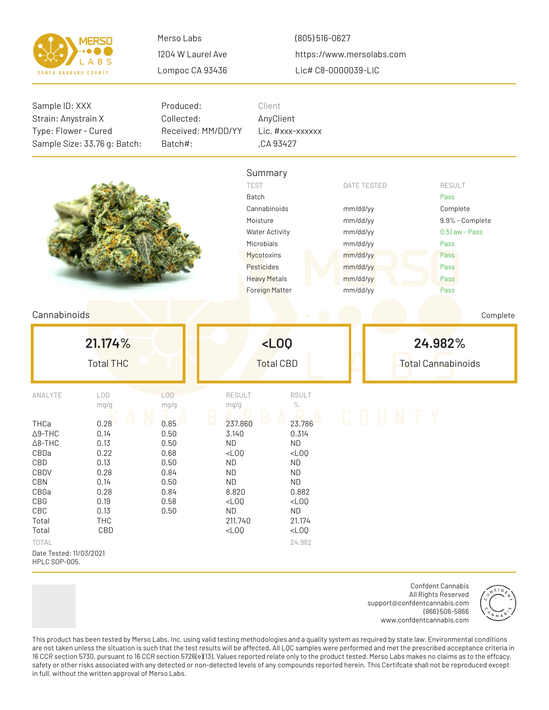

(805) 516-0627 https://www.mersolabs.com Lic# C8-0000039-LIC

| Sample ID: XXX<br>Strain: Anystrain X<br>Type: Flower - Cured                                                                                                                         | Sample Size: 33.76 g: Batch:                                                                              | Produced:<br>Collected:<br>Received: MM/DD/YY<br>Batch#:                                                                                                      | Client<br>AnyClient<br>,CA 93427                                                                                                                                        | Lic. #xxx-xxxxxx                                                                                                                                                |                                                                                                                    |                                      |                                                                                                                  |  |  |
|---------------------------------------------------------------------------------------------------------------------------------------------------------------------------------------|-----------------------------------------------------------------------------------------------------------|---------------------------------------------------------------------------------------------------------------------------------------------------------------|-------------------------------------------------------------------------------------------------------------------------------------------------------------------------|-----------------------------------------------------------------------------------------------------------------------------------------------------------------|--------------------------------------------------------------------------------------------------------------------|--------------------------------------|------------------------------------------------------------------------------------------------------------------|--|--|
|                                                                                                                                                                                       |                                                                                                           |                                                                                                                                                               | Summary<br><b>TEST</b><br>Batch<br>Cannabinoids<br>Moisture<br><b>Water Activity</b><br>Microbials<br>Mycotoxins<br>Pesticides<br><b>Heavy Metals</b><br>Foreign Matter |                                                                                                                                                                 | <b>DATE TESTED</b><br>mm/dd/yy<br>mm/dd/yy<br>mm/dd/yy<br>mm/dd/yy<br>mm/dd/yy<br>mm/dd/yy<br>mm/dd/yy<br>mm/dd/yy |                                      | <b>RESULT</b><br>Pass<br>Complete<br>9.9% - Complete<br>$0.51$ aw - Pass<br>Pass<br>Pass<br>Pass<br>Pass<br>Pass |  |  |
| Cannabinoids                                                                                                                                                                          |                                                                                                           |                                                                                                                                                               |                                                                                                                                                                         |                                                                                                                                                                 |                                                                                                                    |                                      | Complete                                                                                                         |  |  |
|                                                                                                                                                                                       | 21.174%<br><b>Total THC</b>                                                                               |                                                                                                                                                               | $<$ $L00$<br><b>Total CBD</b>                                                                                                                                           |                                                                                                                                                                 |                                                                                                                    | 24.982%<br><b>Total Cannabinoids</b> |                                                                                                                  |  |  |
| ANALYTE<br>THCa<br>$\Delta$ 9-THC<br>$\Delta$ 8-THC<br>CBDa<br>CBD<br>CBDV<br><b>CBN</b><br>CBGa<br>CBG<br>CBC<br>Total<br>Total<br>TOTAL<br>Date Tested: 11/03/2021<br>HPLC SOP-005. | LOD<br>mg/g<br>0.28<br>0.14<br>0.13<br>0.22<br>0.13<br>0.28<br>0.14<br>0.28<br>0.19<br>0.13<br>THC<br>CBD | LOQ<br>mg/g<br>mg/g<br>0.85<br>0.50<br>0.50<br><b>ND</b><br>0.68<br>0.50<br><b>ND</b><br>0.84<br><b>ND</b><br>0.50<br><b>ND</b><br>0.84<br>0.58<br>0.50<br>ND | <b>RESULT</b><br>237.860<br>3.140<br>$<$ LOQ<br>8.820<br>$<$ LOQ<br>211.740<br>$<$ LOQ                                                                                  | <b>RSULT</b><br>$\%$<br>23.786<br>0.314<br><b>ND</b><br>$<$ LOQ<br><b>ND</b><br><b>ND</b><br><b>ND</b><br>0.882<br>$<$ LOQ<br>ND<br>21.174<br>$<$ LOQ<br>24.982 |                                                                                                                    | COUNTY                               |                                                                                                                  |  |  |

Confdent Cannabis All Rights Reserved support@confdentcannabis.com (866) 506-5866 www.confdentcannabis.com



This product has been tested by Merso Labs, Inc. using valid testing methodologies and a quality system as required by state law. Environmental conditions are not taken unless the situation is such that the test results will be affected. All LQC samples were performed and met the prescribed acceptance criteria in 16 CCR section 5730, pursuant to 16 CCR section 5726(e)(13). Values reported relate only to the product tested. Merso Labs makes no claims as to the effcacy, safety or other risks associated with any detected or non-detected levels of any compounds reported herein. This Certifcate shall not be reproduced except in full, without the written approval of Merso Labs.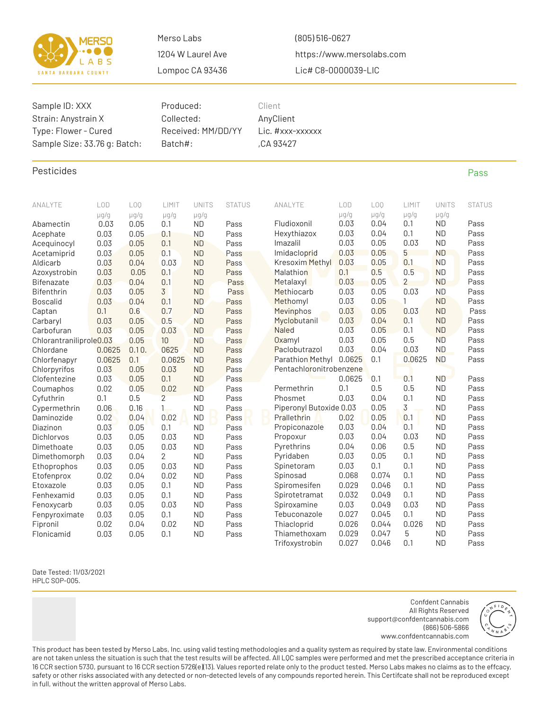

(805) 516-0627 https://www.mersolabs.com Lic# C8-0000039-LIC

| Sample ID: XXX<br>Strain: Anystrain X<br>Type: Flower - Cured<br>Sample Size: 33.76 g: Batch: |              |                 | Produced:<br>Collected:<br>Received: MM/DD/YY<br>Batch#: |                        | Client<br>AnyClient<br>Lic. #xxx-xxxxxx<br>,CA 93427 |  |                             |                |                 |                |                        |               |
|-----------------------------------------------------------------------------------------------|--------------|-----------------|----------------------------------------------------------|------------------------|------------------------------------------------------|--|-----------------------------|----------------|-----------------|----------------|------------------------|---------------|
| Pesticides                                                                                    |              |                 |                                                          |                        |                                                      |  |                             |                |                 |                |                        | Pass          |
| ANALYTE                                                                                       | LOD          | L <sub>00</sub> | LIMIT                                                    | <b>UNITS</b>           | <b>STATUS</b>                                        |  | ANALYTE                     | LOD            | L <sub>00</sub> | LIMIT          | <b>UNITS</b>           | <b>STATUS</b> |
|                                                                                               | $\mu$ g/g    | $\mu$ g/g       | $\mu$ g/g                                                | $\mu$ g/g              |                                                      |  |                             | $\mu$ g/g      | $\mu$ g/g       | $\mu$ g/g      | $\mu$ g/g              |               |
| Abamectin                                                                                     | 0.03         | 0.05            | 0.1                                                      | <b>ND</b>              | Pass                                                 |  | Fludioxonil                 | 0.03           | 0.04            | 0.1            | <b>ND</b>              | Pass          |
| Acephate                                                                                      | 0.03         | 0.05            | 0.1                                                      | <b>ND</b>              | Pass                                                 |  | Hexythiazox<br>Imazalil     | 0.03<br>0.03   | 0.04<br>0.05    | 0.1<br>0.03    | <b>ND</b><br><b>ND</b> | Pass          |
| Acequinocyl<br>Acetamiprid                                                                    | 0.03<br>0.03 | 0.05<br>0.05    | 0.1<br>0.1                                               | <b>ND</b><br><b>ND</b> | Pass<br>Pass                                         |  | Imidacloprid                | 0.03           | 0.05            | 5              | <b>ND</b>              | Pass<br>Pass  |
| Aldicarb                                                                                      | 0.03         | 0.04            | 0.03                                                     | <b>ND</b>              | Pass                                                 |  | Kresoxim Methyl             | 0.03           | 0.05            | 0.1            | <b>ND</b>              | Pass          |
| Azoxystrobin                                                                                  | 0.03         | 0.05            | 0.1                                                      | <b>ND</b>              | Pass                                                 |  | Malathion                   | 0.1            | 0.5             | 0.5            | <b>ND</b>              | Pass          |
| <b>Bifenazate</b>                                                                             | 0.03         | 0.04            | 0.1                                                      | <b>ND</b>              | Pass                                                 |  | Metalaxyl                   | 0.03           | 0.05            | $\overline{2}$ | <b>ND</b>              | Pass          |
| <b>Bifenthrin</b>                                                                             | 0.03         | 0.05            | 3                                                        | <b>ND</b>              | Pass                                                 |  | Methiocarb                  | 0.03           | 0.05            | 0.03           | <b>ND</b>              | Pass          |
| <b>Boscalid</b>                                                                               | 0.03         | 0.04            | 0.1                                                      | <b>ND</b>              | Pass                                                 |  | Methomyl                    | 0.03           | 0.05            | $\mathbf{1}$   | <b>ND</b>              | Pass          |
| Captan                                                                                        | 0.1          | 0.6             | 0.7                                                      | <b>ND</b>              | Pass                                                 |  | Mevinphos                   | 0.03           | 0.05            | 0.03           | <b>ND</b>              | Pass          |
| Carbaryl                                                                                      | 0.03         | 0.05            | 0.5                                                      | <b>ND</b>              | Pass                                                 |  | Myclobutanil                | 0.03           | 0.04            | 0.1            | <b>ND</b>              | Pass          |
| Carbofuran                                                                                    | 0.03         | 0.05            | 0.03                                                     | <b>ND</b>              | Pass                                                 |  | <b>Naled</b>                | 0.03           | 0.05            | 0.1            | <b>ND</b>              | Pass          |
| Chlorantraniliprole0.03                                                                       |              | 0.05            | 10 <sup>10</sup>                                         | <b>ND</b>              | Pass                                                 |  | Oxamyl                      | 0.03           | 0.05            | 0.5            | <b>ND</b>              | Pass          |
| Chlordane                                                                                     | 0.0625       | 0.10.           | 0625                                                     | <b>ND</b>              | Pass                                                 |  | Paclobutrazol               | 0.03           | 0.04            | 0.03           | <b>ND</b>              | Pass          |
| Chlorfenapyr                                                                                  | 0.0625       | 0.1             | 0.0625                                                   | <b>ND</b><br><b>ND</b> | Pass                                                 |  | Parathion Methyl            | 0.0625         | 0.1             | 0.0625         | <b>ND</b>              | Pass          |
| Chlorpyrifos<br>Clofentezine                                                                  | 0.03<br>0.03 | 0.05<br>0.05    | 0.03<br>0.1                                              | <b>ND</b>              | Pass<br>Pass                                         |  | Pentachloronitrobenzene     | 0.0625         | 0.1             | 0.1            | <b>ND</b>              | Pass          |
| Coumaphos                                                                                     | 0.02         | 0.05            | 0.02                                                     | <b>ND</b>              | Pass                                                 |  | Permethrin                  | 0.1            | 0.5             | 0.5            | <b>ND</b>              | Pass          |
| Cyfuthrin                                                                                     | 0.1          | 0.5             | $\overline{2}$                                           | <b>ND</b>              | Pass                                                 |  | Phosmet                     | 0.03           | 0.04            | 0.1            | <b>ND</b>              | Pass          |
| Cypermethrin                                                                                  | 0.06         | 0.16            | $\mathbf{1}$                                             | <b>ND</b>              | Pass                                                 |  | Piperonyl Butoxide 0.03     |                | 0.05            | $\overline{3}$ | <b>ND</b>              | Pass          |
| Daminozide                                                                                    | 0.02         | 0.04            | 0.02                                                     | <b>ND</b>              | Pass                                                 |  | Prallethrin                 | 0.02           | 0.05            | 0.1            | <b>ND</b>              | Pass          |
| Diazinon                                                                                      | 0.03         | 0.05            | 0.1                                                      | <b>ND</b>              | Pass                                                 |  | Propiconazole               | 0.03           | 0.04            | 0.1            | <b>ND</b>              | Pass          |
| <b>Dichlorvos</b>                                                                             | 0.03         | 0.05            | 0.03                                                     | <b>ND</b>              | Pass                                                 |  | Propoxur                    | 0.03           | 0.04            | 0.03           | <b>ND</b>              | Pass          |
| Dimethoate                                                                                    | 0.03         | 0.05            | 0.03                                                     | <b>ND</b>              | Pass                                                 |  | Pyrethrins                  | 0.04           | 0.06            | 0.5            | <b>ND</b>              | Pass          |
| Dimethomorph                                                                                  | 0.03         | 0.04            | 2                                                        | <b>ND</b>              | Pass                                                 |  | Pyridaben                   | 0.03           | 0.05            | 0.1            | <b>ND</b>              | Pass          |
| Ethoprophos                                                                                   | 0.03         | 0.05            | 0.03                                                     | <b>ND</b>              | Pass                                                 |  | Spinetoram                  | 0.03           | 0.1             | 0.1            | <b>ND</b>              | Pass          |
| Etofenprox                                                                                    | 0.02         | 0.04            | 0.02                                                     | <b>ND</b>              | Pass                                                 |  | Spinosad                    | 0.068          | 0.074           | 0.1            | ND                     | Pass          |
| Etoxazole                                                                                     | 0.03         | 0.05            | 0.1                                                      | <b>ND</b>              | Pass                                                 |  | Spiromesifen                | 0.029          | 0.046           | 0.1            | <b>ND</b>              | Pass          |
| Fenhexamid                                                                                    | 0.03         | 0.05            | 0.1                                                      | <b>ND</b>              | Pass                                                 |  | Spirotetramat               | 0.032          | 0.049           | 0.1            | <b>ND</b>              | Pass          |
| Fenoxycarb                                                                                    | 0.03         | 0.05            | 0.03                                                     | <b>ND</b>              | Pass                                                 |  | Spiroxamine                 | 0.03           | 0.049           | 0.03           | <b>ND</b>              | Pass          |
| Fenpyroximate<br>Fipronil                                                                     | 0.03<br>0.02 | 0.05<br>0.04    | 0.1<br>0.02                                              | <b>ND</b><br><b>ND</b> | Pass<br>Pass                                         |  | Tebuconazole<br>Thiacloprid | 0.027<br>0.026 | 0.045<br>0.044  | 0.1<br>0.026   | <b>ND</b><br><b>ND</b> | Pass<br>Pass  |
| Flonicamid                                                                                    | 0.03         | 0.05            | 0.1                                                      | <b>ND</b>              | Pass                                                 |  | Thiamethoxam                | 0.029          | 0.047           | 5              | <b>ND</b>              | Pass          |
|                                                                                               |              |                 |                                                          |                        |                                                      |  | Trifoxystrobin              | 0.027          | 0.046           | 0.1            | <b>ND</b>              | Pass          |

Date Tested: 11/03/2021 HPLC SOP-005.

> Confdent Cannabis All Rights Reserved support@confdentcannabis.com (866) 506-5866 www.confdentcannabis.com



This product has been tested by Merso Labs, Inc. using valid testing methodologies and a quality system as required by state law. Environmental conditions are not taken unless the situation is such that the test results will be affected. All LQC samples were performed and met the prescribed acceptance criteria in 16 CCR section 5730, pursuant to 16 CCR section 5726(e)(13). Values reported relate only to the product tested. Merso Labs makes no claims as to the effcacy, safety or other risks associated with any detected or non-detected levels of any compounds reported herein. This Certifcate shall not be reproduced except in full, without the written approval of Merso Labs.

Trifoxystrobin 0.027 0.046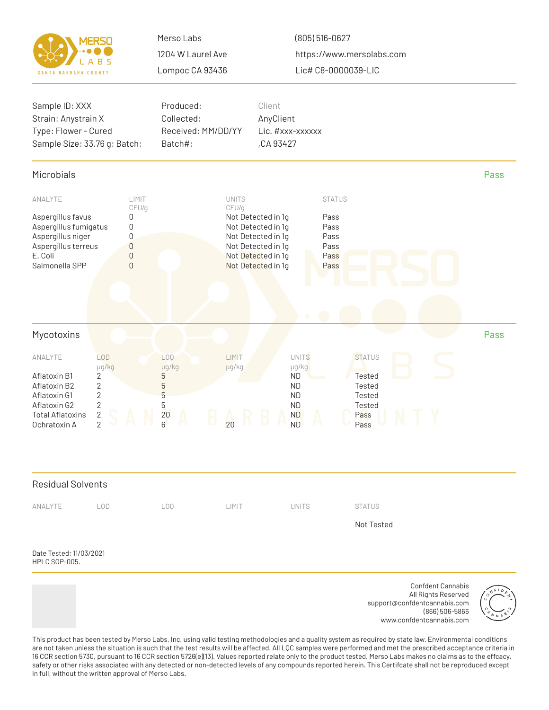|                             | VERSO |
|-----------------------------|-------|
|                             | LABS  |
| <b>SANTA BARBARA COUNTY</b> |       |

(805) 516-0627 https://www.mersolabs.com Lic# C8-0000039-LIC



This product has been tested by Merso Labs, Inc. using valid testing methodologies and a quality system as required by state law. Environmental conditions are not taken unless the situation is such that the test results will be affected. All LQC samples were performed and met the prescribed acceptance criteria in 16 CCR section 5730, pursuant to 16 CCR section 5726(e)(13). Values reported relate only to the product tested. Merso Labs makes no claims as to the effcacy, safety or other risks associated with any detected or non-detected levels of any compounds reported herein. This Certifcate shall not be reproduced except in full, without the written approval of Merso Labs.